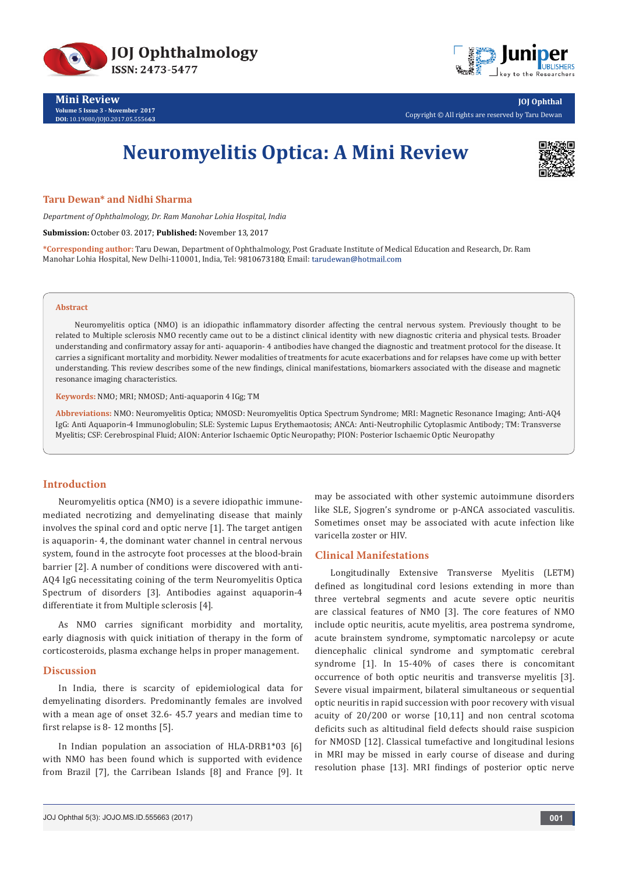



**Mini Review Volume 5 Issue 3 - November 2017 DOI:** [10.19080/JOJO.2017.05.5556](http://dx.doi.org/10.19080/JOJO.2017.05.555663)**63**

**JOJ Ophthal** Copyright © All rights are reserved by Taru Dewan

# **Neuromyelitis Optica: A Mini Review**



## **Taru Dewan\* and Nidhi Sharma**

*Department of Ophthalmology, Dr. Ram Manohar Lohia Hospital, India*

**Submission:** October 03. 2017; **Published:** November 13, 2017

**\*Corresponding author:** Taru Dewan, Department of Ophthalmology, Post Graduate Institute of Medical Education and Research, Dr. Ram Manohar Lohia Hospital, New Delhi-110001, India, Tel: 9810673180; Email: tarudewan@hotmail.com

#### **Abstract**

Neuromyelitis optica (NMO) is an idiopathic inflammatory disorder affecting the central nervous system. Previously thought to be related to Multiple sclerosis NMO recently came out to be a distinct clinical identity with new diagnostic criteria and physical tests. Broader understanding and confirmatory assay for anti- aquaporin- 4 antibodies have changed the diagnostic and treatment protocol for the disease. It carries a significant mortality and morbidity. Newer modalities of treatments for acute exacerbations and for relapses have come up with better understanding. This review describes some of the new findings, clinical manifestations, biomarkers associated with the disease and magnetic resonance imaging characteristics.

**Keywords:** NMO; MRI; NMOSD; Anti-aquaporin 4 IGg; TM

**Abbreviations:** NMO: Neuromyelitis Optica; NMOSD: Neuromyelitis Optica Spectrum Syndrome; MRI: Magnetic Resonance Imaging; Anti-AQ4 IgG: Anti Aquaporin-4 Immunoglobulin; SLE: Systemic Lupus Erythemaotosis; ANCA: Anti-Neutrophilic Cytoplasmic Antibody; TM: Transverse Myelitis; CSF: Cerebrospinal Fluid; AION: Anterior Ischaemic Optic Neuropathy; PION: Posterior Ischaemic Optic Neuropathy

## **Introduction**

Neuromyelitis optica (NMO) is a severe idiopathic immunemediated necrotizing and demyelinating disease that mainly involves the spinal cord and optic nerve [1]. The target antigen is aquaporin- 4, the dominant water channel in central nervous system, found in the astrocyte foot processes at the blood-brain barrier [2]. A number of conditions were discovered with anti-AQ4 IgG necessitating coining of the term Neuromyelitis Optica Spectrum of disorders [3]. Antibodies against aquaporin-4 differentiate it from Multiple sclerosis [4].

As NMO carries significant morbidity and mortality, early diagnosis with quick initiation of therapy in the form of corticosteroids, plasma exchange helps in proper management.

#### **Discussion**

In India, there is scarcity of epidemiological data for demyelinating disorders. Predominantly females are involved with a mean age of onset 32.6- 45.7 years and median time to first relapse is 8- 12 months [5].

In Indian population an association of HLA-DRB1\*03 [6] with NMO has been found which is supported with evidence from Brazil [7], the Carribean Islands [8] and France [9]. It may be associated with other systemic autoimmune disorders like SLE, Sjogren's syndrome or p-ANCA associated vasculitis. Sometimes onset may be associated with acute infection like varicella zoster or HIV.

#### **Clinical Manifestations**

Longitudinally Extensive Transverse Myelitis (LETM) defined as longitudinal cord lesions extending in more than three vertebral segments and acute severe optic neuritis are classical features of NMO [3]. The core features of NMO include optic neuritis, acute myelitis, area postrema syndrome, acute brainstem syndrome, symptomatic narcolepsy or acute diencephalic clinical syndrome and symptomatic cerebral syndrome [1]. In 15-40% of cases there is concomitant occurrence of both optic neuritis and transverse myelitis [3]. Severe visual impairment, bilateral simultaneous or sequential optic neuritis in rapid succession with poor recovery with visual acuity of 20/200 or worse [10,11] and non central scotoma deficits such as altitudinal field defects should raise suspicion for NMOSD [12]. Classical tumefactive and longitudinal lesions in MRI may be missed in early course of disease and during resolution phase [13]. MRI findings of posterior optic nerve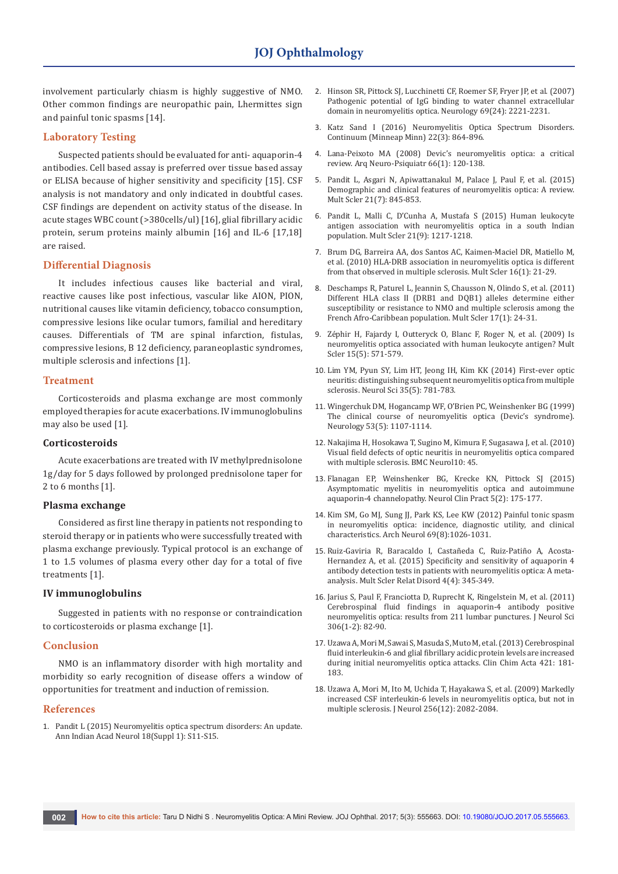involvement particularly chiasm is highly suggestive of NMO. Other common findings are neuropathic pain, Lhermittes sign and painful tonic spasms [14].

# **Laboratory Testing**

Suspected patients should be evaluated for anti- aquaporin-4 antibodies. Cell based assay is preferred over tissue based assay or ELISA because of higher sensitivity and specificity [15]. CSF analysis is not mandatory and only indicated in doubtful cases. CSF findings are dependent on activity status of the disease. In acute stages WBC count (>380cells/ul) [16], glial fibrillary acidic protein, serum proteins mainly albumin [16] and IL-6 [17,18] are raised.

# **Differential Diagnosis**

It includes infectious causes like bacterial and viral, reactive causes like post infectious, vascular like AION, PION, nutritional causes like vitamin deficiency, tobacco consumption, compressive lesions like ocular tumors, familial and hereditary causes. Differentials of TM are spinal infarction, fistulas, compressive lesions, B 12 deficiency, paraneoplastic syndromes, multiple sclerosis and infections [1].

#### **Treatment**

Corticosteroids and plasma exchange are most commonly employed therapies for acute exacerbations. IV immunoglobulins may also be used [1].

### **Corticosteroids**

Acute exacerbations are treated with IV methylprednisolone 1g/day for 5 days followed by prolonged prednisolone taper for 2 to 6 months [1].

### **Plasma exchange**

Considered as first line therapy in patients not responding to steroid therapy or in patients who were successfully treated with plasma exchange previously. Typical protocol is an exchange of 1 to 1.5 volumes of plasma every other day for a total of five treatments [1].

#### **IV immunoglobulins**

Suggested in patients with no response or contraindication to corticosteroids or plasma exchange [1].

#### **Conclusion**

NMO is an inflammatory disorder with high mortality and morbidity so early recognition of disease offers a window of opportunities for treatment and induction of remission.

#### **References**

1. [Pandit L \(2015\) Neuromyelitis optica spectrum disorders: An update.](https://www.ncbi.nlm.nih.gov/pubmed/26538842)  [Ann Indian Acad Neurol 18\(Suppl 1\): S11-S15.](https://www.ncbi.nlm.nih.gov/pubmed/26538842)

- 2. [Hinson SR, Pittock SJ, Lucchinetti CF, Roemer SF, Fryer JP, et al. \(2007\)](https://www.ncbi.nlm.nih.gov/pubmed/17928579)  [Pathogenic potential of IgG binding to water channel extracellular](https://www.ncbi.nlm.nih.gov/pubmed/17928579)  [domain in neuromyelitis optica. Neurology 69\(24\): 2221-2231.](https://www.ncbi.nlm.nih.gov/pubmed/17928579)
- 3. [Katz Sand I \(2016\) Neuromyelitis Optica Spectrum Disorders.](https://www.uptodate.com/contents/neuromyelitis-optica-spectrum-disorders)  [Continuum \(Minneap Minn\) 22\(3\): 864-896.](https://www.uptodate.com/contents/neuromyelitis-optica-spectrum-disorders)
- 4. [Lana-Peixoto MA \(2008\) Devic's neuromyelitis optica: a critical](https://www.ncbi.nlm.nih.gov/pubmed/18392436)  review. [Arq Neuro-Psiquiatr](https://www.ncbi.nlm.nih.gov/pubmed/18392436) 66(1): 120-138.
- 5. [Pandit L, Asgari N, Apiwattanakul M, Palace J, Paul F, et al. \(2015\)](https://www.ncbi.nlm.nih.gov/pubmed/25921037)  [Demographic and clinical features of neuromyelitis optica: A review.](https://www.ncbi.nlm.nih.gov/pubmed/25921037)  [Mult Scler 21\(7\): 845-853.](https://www.ncbi.nlm.nih.gov/pubmed/25921037)
- 6. [Pandit L, Malli C, D'Cunha A, Mustafa S \(2015\) Human leukocyte](https://www.ncbi.nlm.nih.gov/pubmed/25698175)  [antigen association with neuromyelitis optica in a south Indian](https://www.ncbi.nlm.nih.gov/pubmed/25698175)  [population. Mult Scler 21\(9\): 1217-1218.](https://www.ncbi.nlm.nih.gov/pubmed/25698175)
- 7. [Brum DG, Barreira AA, dos Santos AC, Kaimen-Maciel DR, Matiello M,](https://www.ncbi.nlm.nih.gov/pubmed/19995845)  [et al. \(2010\) HLA-DRB association in neuromyelitis optica is different](https://www.ncbi.nlm.nih.gov/pubmed/19995845)  [from that observed in multiple sclerosis. Mult Scler 16\(1\): 21-29.](https://www.ncbi.nlm.nih.gov/pubmed/19995845)
- 8. [Deschamps R, Paturel L, Jeannin S, Chausson N, Olindo S, et al. \(2011\)](https://www.ncbi.nlm.nih.gov/pubmed/20861181)  [Different HLA class II \(DRB1 and DQB1\) alleles determine either](https://www.ncbi.nlm.nih.gov/pubmed/20861181)  [susceptibility or resistance to NMO and multiple sclerosis among the](https://www.ncbi.nlm.nih.gov/pubmed/20861181)  [French Afro-Caribbean population. Mult Scler 17\(1\): 24-31.](https://www.ncbi.nlm.nih.gov/pubmed/20861181)
- 9. [Zéphir H, Fajardy I, Outteryck O, Blanc F, Roger N, et al. \(2009\) Is](https://www.ncbi.nlm.nih.gov/pubmed/19299434)  [neuromyelitis optica associated with human leukocyte antigen? Mult](https://www.ncbi.nlm.nih.gov/pubmed/19299434)  [Scler 15\(5\): 571-579.](https://www.ncbi.nlm.nih.gov/pubmed/19299434)
- 10. [Lim YM, Pyun SY, Lim HT, Jeong IH, Kim KK \(2014\) First-ever optic](https://www.ncbi.nlm.nih.gov/pubmed/24487628)  [neuritis: distinguishing subsequent neuromyelitis optica from multiple](https://www.ncbi.nlm.nih.gov/pubmed/24487628)  [sclerosis. Neurol Sci 35\(5\): 781-783.](https://www.ncbi.nlm.nih.gov/pubmed/24487628)
- 11. [Wingerchuk DM, Hogancamp WF, O'Brien PC, Weinshenker BG \(1999\)](https://www.ncbi.nlm.nih.gov/pubmed/10496275)  [The clinical course of neuromyelitis optica \(Devic's syndrome\).](https://www.ncbi.nlm.nih.gov/pubmed/10496275)  [Neurology 53\(5\): 1107-1114.](https://www.ncbi.nlm.nih.gov/pubmed/10496275)
- 12. [Nakajima H, Hosokawa T, Sugino M, Kimura F, Sugasawa J, et al. \(2010\)](https://bmcneurol.biomedcentral.com/articles/10.1186/1471-2377-10-45)  [Visual field defects of optic neuritis in neuromyelitis optica compared](https://bmcneurol.biomedcentral.com/articles/10.1186/1471-2377-10-45)  [with multiple sclerosis. BMC Neurol10: 45.](https://bmcneurol.biomedcentral.com/articles/10.1186/1471-2377-10-45)
- 13. [Flanagan EP, Weinshenker BG, Krecke KN, Pittock SJ \(2015\)](https://www.ncbi.nlm.nih.gov/pubmed/26137424/)  [Asymptomatic myelitis in neuromyelitis optica and autoimmune](https://www.ncbi.nlm.nih.gov/pubmed/26137424/)  [aquaporin-4 channelopathy. Neurol Clin Pract 5\(2\): 175-177.](https://www.ncbi.nlm.nih.gov/pubmed/26137424/)
- 14. [Kim SM, Go MJ, Sung JJ, Park KS, Lee KW \(2012\) Painful tonic spasm](https://www.ncbi.nlm.nih.gov/pubmed/22473770)  [in neuromyelitis optica: incidence, diagnostic utility, and clinical](https://www.ncbi.nlm.nih.gov/pubmed/22473770)  [characteristics. Arch Neurol 69\(8\):1026-1031.](https://www.ncbi.nlm.nih.gov/pubmed/22473770)
- 15. [Ruiz-Gaviria R, Baracaldo I, Castañeda C, Ruiz-Patiño A, Acosta-](https://www.ncbi.nlm.nih.gov/pubmed/26195055)[Hernandez A, et al. \(2015\) Specificity and sensitivity of aquaporin 4](https://www.ncbi.nlm.nih.gov/pubmed/26195055)  [antibody detection tests in patients with neuromyelitis optica: A meta](https://www.ncbi.nlm.nih.gov/pubmed/26195055)[analysis. Mult Scler Relat Disord 4\(4\): 345-349.](https://www.ncbi.nlm.nih.gov/pubmed/26195055)
- 16. [Jarius S, Paul F, Franciotta D, Ruprecht K, Ringelstein M, et al. \(2011\)](https://www.ncbi.nlm.nih.gov/pubmed/21550068)  [Cerebrospinal fluid findings in aquaporin-4 antibody positive](https://www.ncbi.nlm.nih.gov/pubmed/21550068)  [neuromyelitis optica: results from 211 lumbar punctures. J Neurol Sci](https://www.ncbi.nlm.nih.gov/pubmed/21550068)  [306\(1-2\): 82-90.](https://www.ncbi.nlm.nih.gov/pubmed/21550068)
- 17. [Uzawa A, Mori M, Sawai S, Masuda S, Muto M, et al. \(2013\) Cerebrospinal](https://www.ncbi.nlm.nih.gov/pubmed/23535508)  [fluid interleukin-6 and glial fibrillary acidic protein levels are increased](https://www.ncbi.nlm.nih.gov/pubmed/23535508)  [during initial neuromyelitis optica attacks. Clin Chim Acta 421: 181-](https://www.ncbi.nlm.nih.gov/pubmed/23535508) [183.](https://www.ncbi.nlm.nih.gov/pubmed/23535508)
- 18. [Uzawa A, Mori M, Ito M, Uchida T, Hayakawa S, et al. \(2009\) Markedly](https://www.ncbi.nlm.nih.gov/pubmed/19655191)  [increased CSF interleukin-6 levels in neuromyelitis optica, but not in](https://www.ncbi.nlm.nih.gov/pubmed/19655191)  [multiple sclerosis. J Neurol 256\(12\): 2082-2084.](https://www.ncbi.nlm.nih.gov/pubmed/19655191)